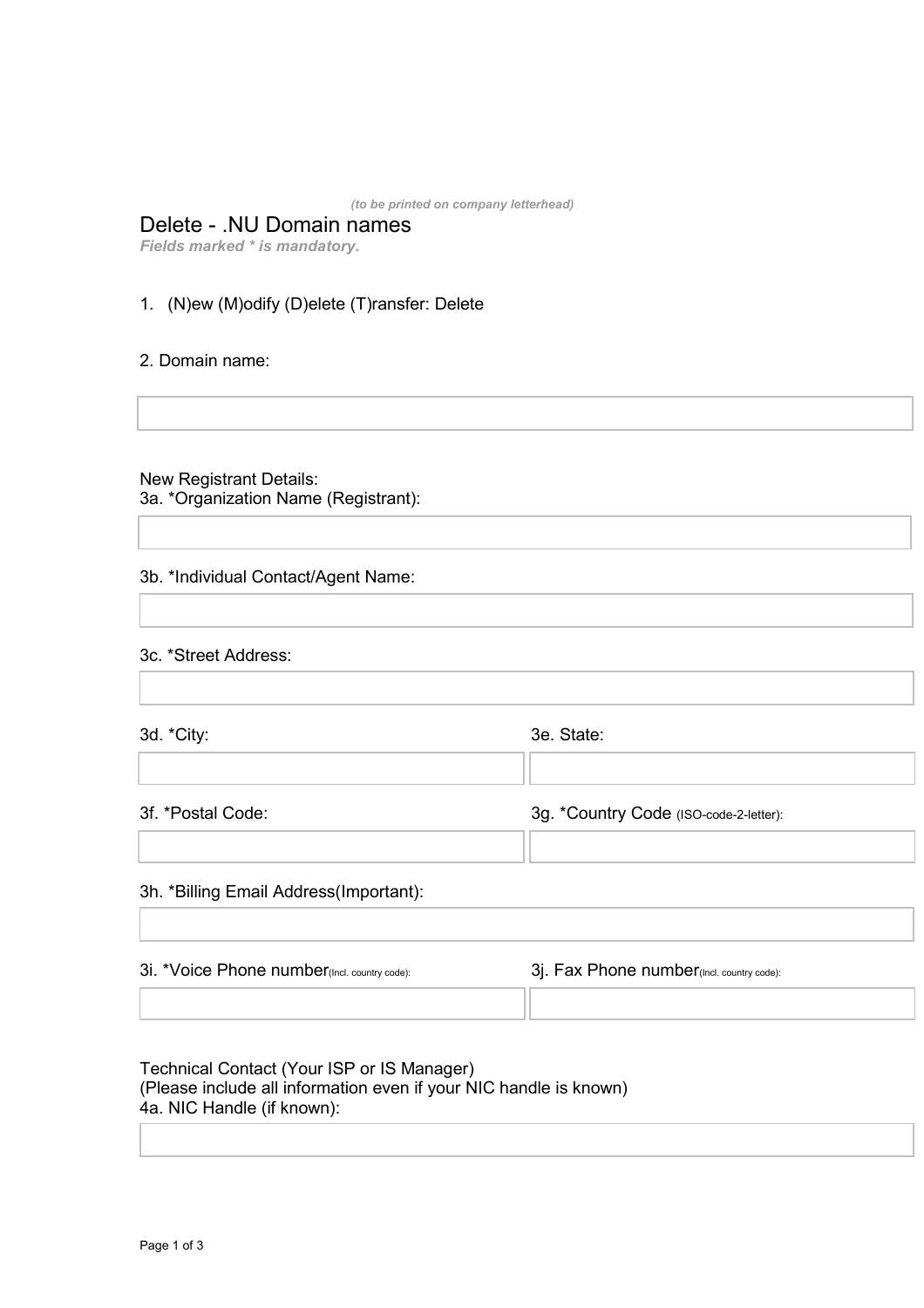*(to be printed on company letterhead)* 

# Delete - .NU Domain names

*Fields marked \* is mandatory.* 

# 1. (N)ew (M)odify (D)elete (T)ransfer: Delete

## 2. Domain name:

## New Registrant Details:

3a. \*Organization Name (Registrant):

## 3b. \*Individual Contact/Agent Name:

|  | 3c. *Street Address: |
|--|----------------------|
|--|----------------------|

 $\mathcal{L}$ 

3d. \*City: 3e. State:

3f. \*Postal Code: 3g. \*Country Code (ISO-code-2-letter):

## 3h. \*Billing Email Address(Important):

\_\_\_ \_\_\_

\_\_\_ \_\_\_

| 3i. *Voice Phone number(Incl. country code): | 3j. Fax Phone number (Incl. country code): |
|----------------------------------------------|--------------------------------------------|
|                                              |                                            |

# Technical Contact (Your ISP or IS Manager) (Please include all information even if your NIC handle is known) 4a. NIC Handle (if known):

 $\mathcal{L}$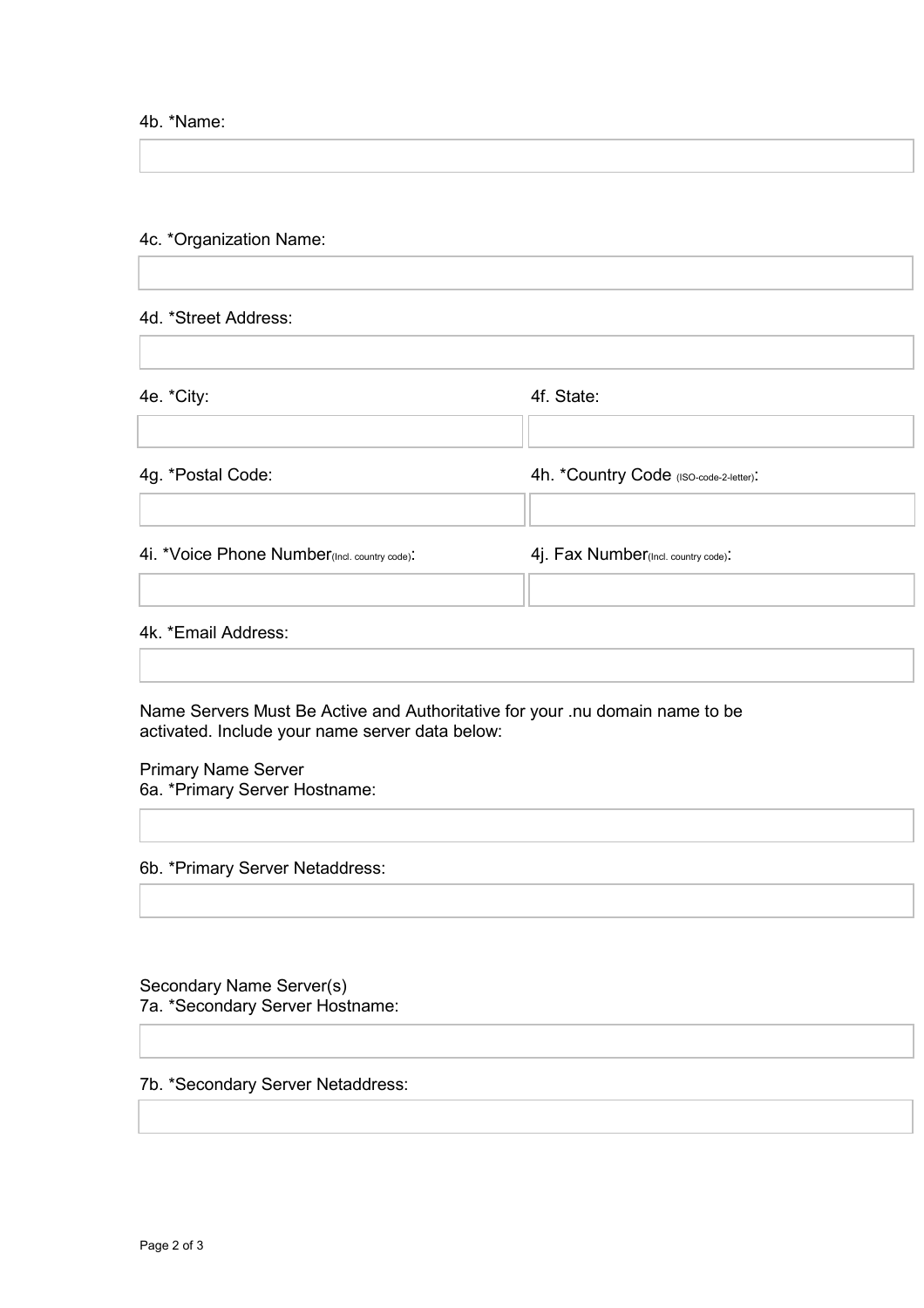#### 4b. \*Name:

# 4c. \*Organization Name:

#### 4d. \*Street Address:

4e. \*City: 4f. State:

4g. \*Postal Code:  $\begin{array}{ccc} 4 & 4 & 4 \end{array}$  4h. \*Country Code (ISO-code-2-letter):

4i. \*Voice Phone Number(Incl. country code): 4j. Fax Number(Incl. country code):

\_\_\_ \_\_\_

\_\_\_ \_\_\_

\_\_\_ \_\_\_

# 4k. \*Email Address:

Name Servers Must Be Active and Authoritative for your .nu domain name to be activated. Include your name server data below:

Primary Name Server 6a. \*Primary Server Hostname:

6b. \*Primary Server Netaddress:

Secondary Name Server(s) 7a. \*Secondary Server Hostname:

# 7b. \*Secondary Server Netaddress: